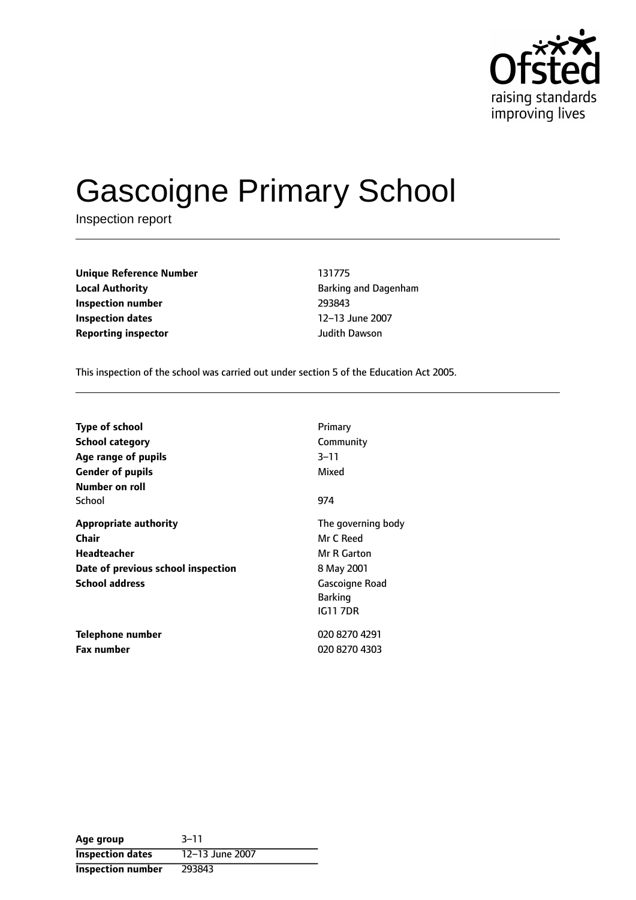

# Gascoigne Primary School

Inspection report

| <b>Unique Reference Number</b> | 131775                |
|--------------------------------|-----------------------|
| <b>Local Authority</b>         | <b>Barking and Da</b> |
| Inspection number              | 293843                |
| <b>Inspection dates</b>        | 12-13 June 200        |
| <b>Reporting inspector</b>     | Judith Dawson         |

**Local Authority** Barking and Dagenham **Inspection number** 293843 **12-13 June 2007** 

This inspection of the school was carried out under section 5 of the Education Act 2005.

| <b>Type of school</b><br><b>School category</b><br>Age range of pupils<br><b>Gender of pupils</b><br>Number on roll        | Primary<br>Community<br>$3 - 11$<br>Mixed                                                                           |
|----------------------------------------------------------------------------------------------------------------------------|---------------------------------------------------------------------------------------------------------------------|
| School                                                                                                                     | 974                                                                                                                 |
| <b>Appropriate authority</b><br>Chair<br><b>Headteacher</b><br>Date of previous school inspection<br><b>School address</b> | The governing body<br>Mr C Reed<br>Mr R Garton<br>8 May 2001<br>Gascoigne Road<br><b>Barking</b><br><b>IG11 7DR</b> |
| Telephone number<br><b>Fax number</b>                                                                                      | 020 8270 4291<br>020 8270 4303                                                                                      |

| Age group                | $3 - 11$        |
|--------------------------|-----------------|
| <b>Inspection dates</b>  | 12-13 June 2007 |
| <b>Inspection number</b> | 293843          |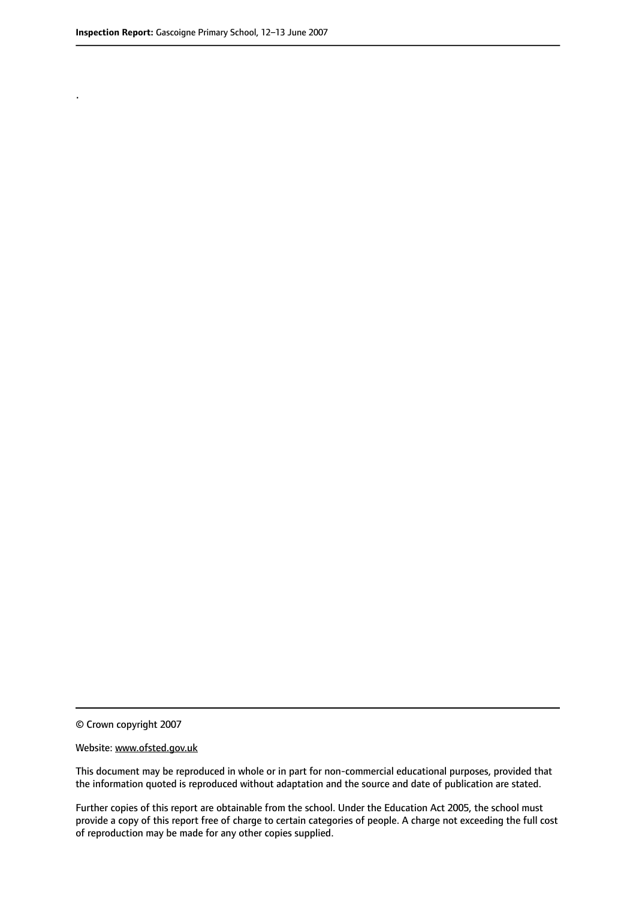.

© Crown copyright 2007

#### Website: www.ofsted.gov.uk

This document may be reproduced in whole or in part for non-commercial educational purposes, provided that the information quoted is reproduced without adaptation and the source and date of publication are stated.

Further copies of this report are obtainable from the school. Under the Education Act 2005, the school must provide a copy of this report free of charge to certain categories of people. A charge not exceeding the full cost of reproduction may be made for any other copies supplied.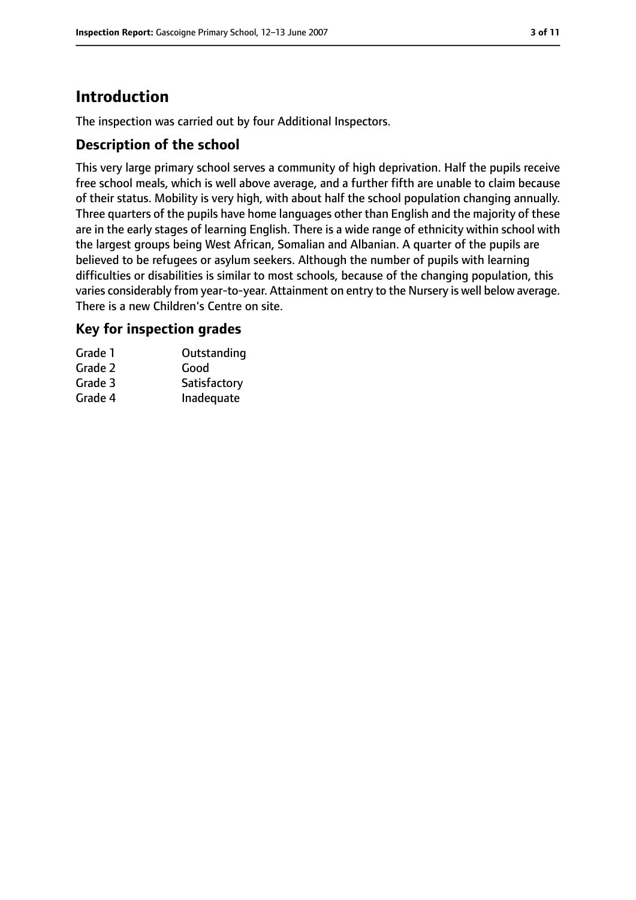# **Introduction**

The inspection was carried out by four Additional Inspectors.

#### **Description of the school**

This very large primary school serves a community of high deprivation. Half the pupils receive free school meals, which is well above average, and a further fifth are unable to claim because of their status. Mobility is very high, with about half the school population changing annually. Three quarters of the pupils have home languages other than English and the majority of these are in the early stages of learning English. There is a wide range of ethnicity within school with the largest groups being West African, Somalian and Albanian. A quarter of the pupils are believed to be refugees or asylum seekers. Although the number of pupils with learning difficulties or disabilities is similar to most schools, because of the changing population, this varies considerably from year-to-year. Attainment on entry to the Nursery is well below average. There is a new Children's Centre on site.

#### **Key for inspection grades**

| Grade 1 | Outstanding  |
|---------|--------------|
| Grade 2 | Good         |
| Grade 3 | Satisfactory |
| Grade 4 | Inadequate   |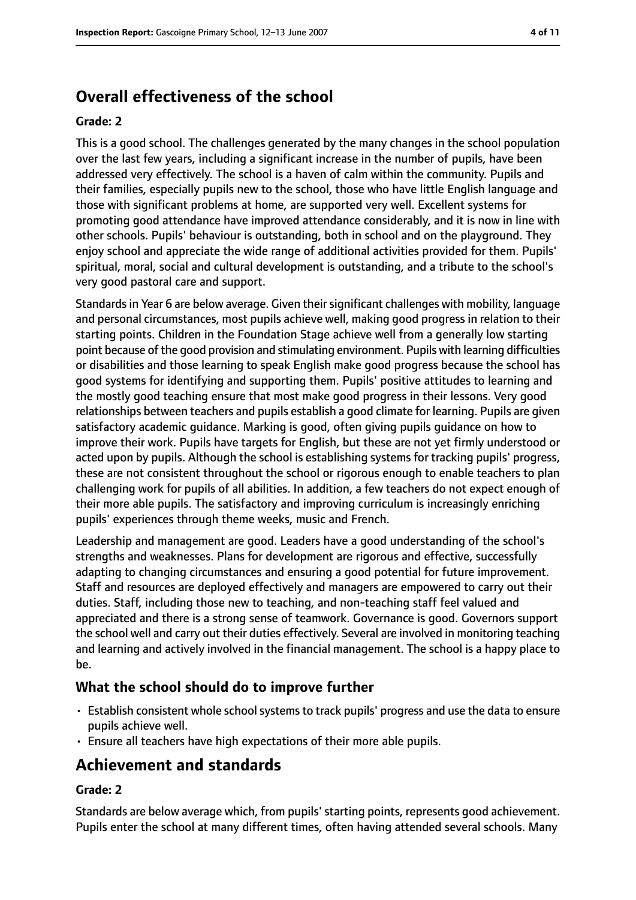# **Overall effectiveness of the school**

#### **Grade: 2**

This is a good school. The challenges generated by the many changes in the school population over the last few years, including a significant increase in the number of pupils, have been addressed very effectively. The school is a haven of calm within the community. Pupils and their families, especially pupils new to the school, those who have little English language and those with significant problems at home, are supported very well. Excellent systems for promoting good attendance have improved attendance considerably, and it is now in line with other schools. Pupils' behaviour is outstanding, both in school and on the playground. They enjoy school and appreciate the wide range of additional activities provided for them. Pupils' spiritual, moral, social and cultural development is outstanding, and a tribute to the school's very good pastoral care and support.

Standards in Year 6 are below average. Given their significant challenges with mobility, language and personal circumstances, most pupils achieve well, making good progress in relation to their starting points. Children in the Foundation Stage achieve well from a generally low starting point because of the good provision and stimulating environment. Pupils with learning difficulties or disabilities and those learning to speak English make good progress because the school has good systems for identifying and supporting them. Pupils' positive attitudes to learning and the mostly good teaching ensure that most make good progress in their lessons. Very good relationships between teachers and pupils establish a good climate for learning. Pupils are given satisfactory academic guidance. Marking is good, often giving pupils guidance on how to improve their work. Pupils have targets for English, but these are not yet firmly understood or acted upon by pupils. Although the school is establishing systems for tracking pupils' progress, these are not consistent throughout the school or rigorous enough to enable teachers to plan challenging work for pupils of all abilities. In addition, a few teachers do not expect enough of their more able pupils. The satisfactory and improving curriculum is increasingly enriching pupils' experiences through theme weeks, music and French.

Leadership and management are good. Leaders have a good understanding of the school's strengths and weaknesses. Plans for development are rigorous and effective, successfully adapting to changing circumstances and ensuring a good potential for future improvement. Staff and resources are deployed effectively and managers are empowered to carry out their duties. Staff, including those new to teaching, and non-teaching staff feel valued and appreciated and there is a strong sense of teamwork. Governance is good. Governors support the school well and carry out their duties effectively. Several are involved in monitoring teaching and learning and actively involved in the financial management. The school is a happy place to be.

#### **What the school should do to improve further**

- Establish consistent whole school systems to track pupils' progress and use the data to ensure pupils achieve well.
- Ensure all teachers have high expectations of their more able pupils.

## **Achievement and standards**

#### **Grade: 2**

Standards are below average which, from pupils' starting points, represents good achievement. Pupils enter the school at many different times, often having attended several schools. Many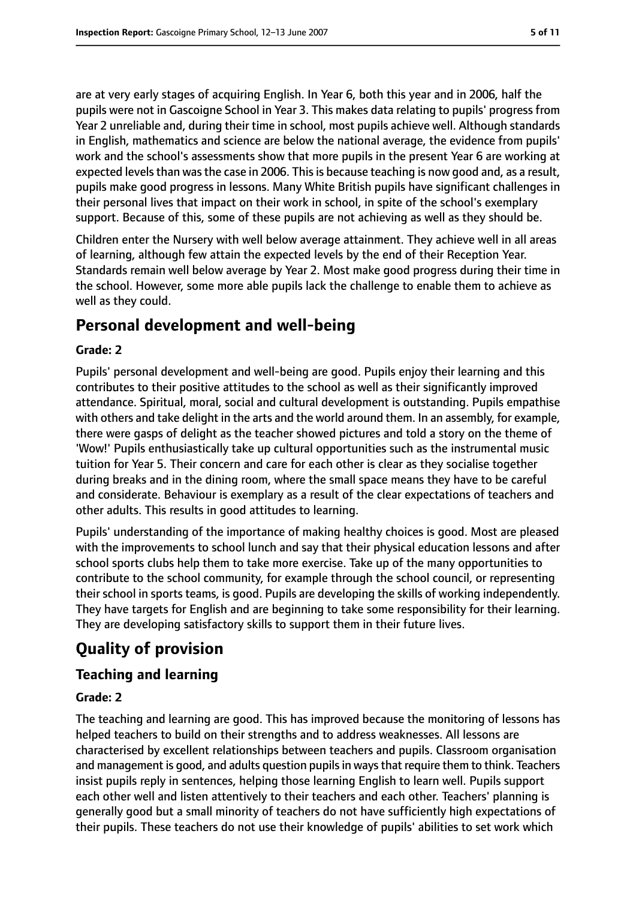are at very early stages of acquiring English. In Year 6, both this year and in 2006, half the pupils were not in Gascoigne School in Year 3. This makes data relating to pupils' progress from Year 2 unreliable and, during their time in school, most pupils achieve well. Although standards in English, mathematics and science are below the national average, the evidence from pupils' work and the school's assessments show that more pupils in the present Year 6 are working at expected levels than was the case in 2006. This is because teaching is now good and, as a result, pupils make good progress in lessons. Many White British pupils have significant challenges in their personal lives that impact on their work in school, in spite of the school's exemplary support. Because of this, some of these pupils are not achieving as well as they should be.

Children enter the Nursery with well below average attainment. They achieve well in all areas of learning, although few attain the expected levels by the end of their Reception Year. Standards remain well below average by Year 2. Most make good progress during their time in the school. However, some more able pupils lack the challenge to enable them to achieve as well as they could.

## **Personal development and well-being**

#### **Grade: 2**

Pupils' personal development and well-being are good. Pupils enjoy their learning and this contributes to their positive attitudes to the school as well as their significantly improved attendance. Spiritual, moral, social and cultural development is outstanding. Pupils empathise with others and take delight in the arts and the world around them. In an assembly, for example, there were gasps of delight as the teacher showed pictures and told a story on the theme of 'Wow!' Pupils enthusiastically take up cultural opportunities such as the instrumental music tuition for Year 5. Their concern and care for each other is clear as they socialise together during breaks and in the dining room, where the small space means they have to be careful and considerate. Behaviour is exemplary as a result of the clear expectations of teachers and other adults. This results in good attitudes to learning.

Pupils' understanding of the importance of making healthy choices is good. Most are pleased with the improvements to school lunch and say that their physical education lessons and after school sports clubs help them to take more exercise. Take up of the many opportunities to contribute to the school community, for example through the school council, or representing their school in sports teams, is good. Pupils are developing the skills of working independently. They have targets for English and are beginning to take some responsibility for their learning. They are developing satisfactory skills to support them in their future lives.

# **Quality of provision**

## **Teaching and learning**

#### **Grade: 2**

The teaching and learning are good. This has improved because the monitoring of lessons has helped teachers to build on their strengths and to address weaknesses. All lessons are characterised by excellent relationships between teachers and pupils. Classroom organisation and management is good, and adults question pupils in ways that require them to think. Teachers insist pupils reply in sentences, helping those learning English to learn well. Pupils support each other well and listen attentively to their teachers and each other. Teachers' planning is generally good but a small minority of teachers do not have sufficiently high expectations of their pupils. These teachers do not use their knowledge of pupils' abilities to set work which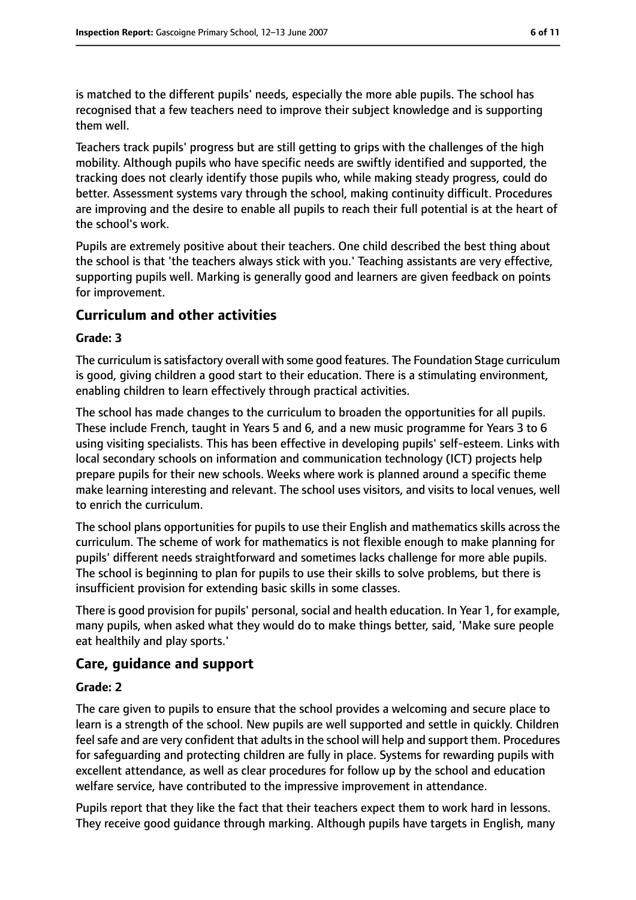is matched to the different pupils' needs, especially the more able pupils. The school has recognised that a few teachers need to improve their subject knowledge and is supporting them well.

Teachers track pupils' progress but are still getting to grips with the challenges of the high mobility. Although pupils who have specific needs are swiftly identified and supported, the tracking does not clearly identify those pupils who, while making steady progress, could do better. Assessment systems vary through the school, making continuity difficult. Procedures are improving and the desire to enable all pupils to reach their full potential is at the heart of the school's work.

Pupils are extremely positive about their teachers. One child described the best thing about the school is that 'the teachers always stick with you.' Teaching assistants are very effective, supporting pupils well. Marking is generally good and learners are given feedback on points for improvement.

#### **Curriculum and other activities**

#### **Grade: 3**

The curriculum is satisfactory overall with some good features. The Foundation Stage curriculum is good, giving children a good start to their education. There is a stimulating environment, enabling children to learn effectively through practical activities.

The school has made changes to the curriculum to broaden the opportunities for all pupils. These include French, taught in Years 5 and 6, and a new music programme for Years 3 to 6 using visiting specialists. This has been effective in developing pupils' self-esteem. Links with local secondary schools on information and communication technology (ICT) projects help prepare pupils for their new schools. Weeks where work is planned around a specific theme make learning interesting and relevant. The school uses visitors, and visits to local venues, well to enrich the curriculum.

The school plans opportunities for pupils to use their English and mathematics skills across the curriculum. The scheme of work for mathematics is not flexible enough to make planning for pupils' different needs straightforward and sometimes lacks challenge for more able pupils. The school is beginning to plan for pupils to use their skills to solve problems, but there is insufficient provision for extending basic skills in some classes.

There is good provision for pupils' personal, social and health education. In Year 1, for example, many pupils, when asked what they would do to make things better, said, 'Make sure people eat healthily and play sports.'

#### **Care, guidance and support**

#### **Grade: 2**

The care given to pupils to ensure that the school provides a welcoming and secure place to learn is a strength of the school. New pupils are well supported and settle in quickly. Children feel safe and are very confident that adults in the school will help and support them. Procedures for safeguarding and protecting children are fully in place. Systems for rewarding pupils with excellent attendance, as well as clear procedures for follow up by the school and education welfare service, have contributed to the impressive improvement in attendance.

Pupils report that they like the fact that their teachers expect them to work hard in lessons. They receive good guidance through marking. Although pupils have targets in English, many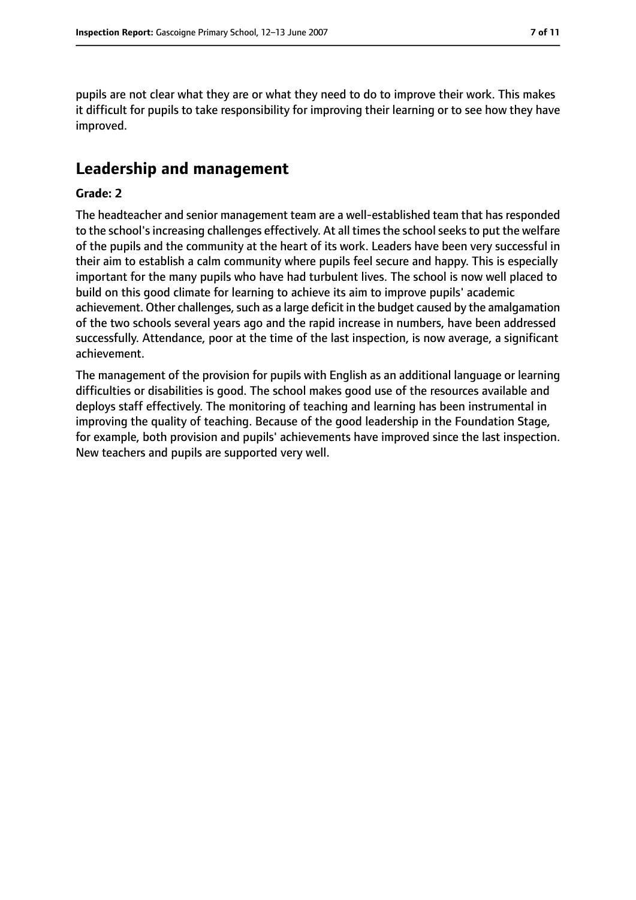pupils are not clear what they are or what they need to do to improve their work. This makes it difficult for pupils to take responsibility for improving their learning or to see how they have improved.

## **Leadership and management**

#### **Grade: 2**

The headteacher and senior management team are a well-established team that has responded to the school's increasing challenges effectively. At all times the school seeks to put the welfare of the pupils and the community at the heart of its work. Leaders have been very successful in their aim to establish a calm community where pupils feel secure and happy. This is especially important for the many pupils who have had turbulent lives. The school is now well placed to build on this good climate for learning to achieve its aim to improve pupils' academic achievement. Other challenges, such as a large deficit in the budget caused by the amalgamation of the two schools several years ago and the rapid increase in numbers, have been addressed successfully. Attendance, poor at the time of the last inspection, is now average, a significant achievement.

The management of the provision for pupils with English as an additional language or learning difficulties or disabilities is good. The school makes good use of the resources available and deploys staff effectively. The monitoring of teaching and learning has been instrumental in improving the quality of teaching. Because of the good leadership in the Foundation Stage, for example, both provision and pupils' achievements have improved since the last inspection. New teachers and pupils are supported very well.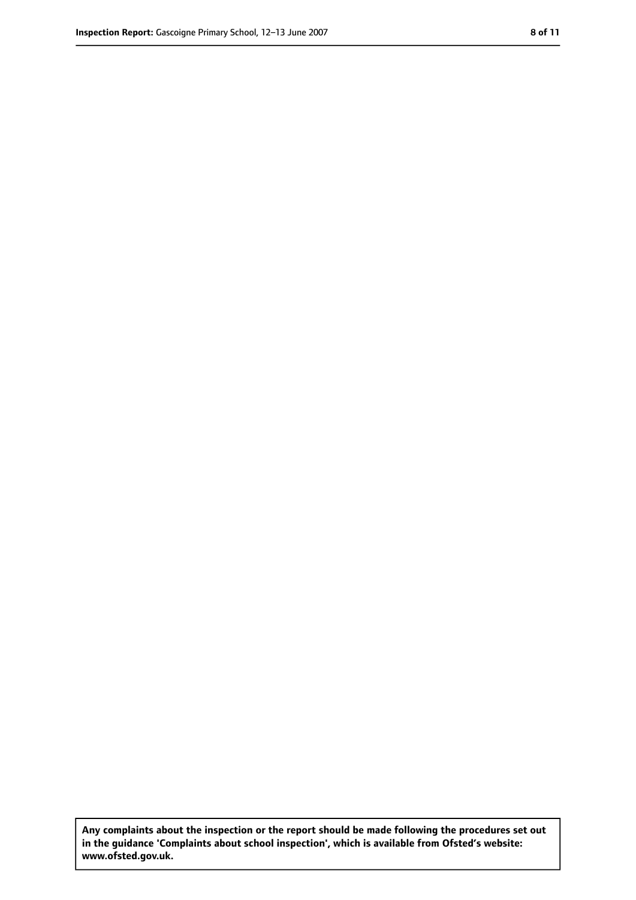**Any complaints about the inspection or the report should be made following the procedures set out in the guidance 'Complaints about school inspection', which is available from Ofsted's website: www.ofsted.gov.uk.**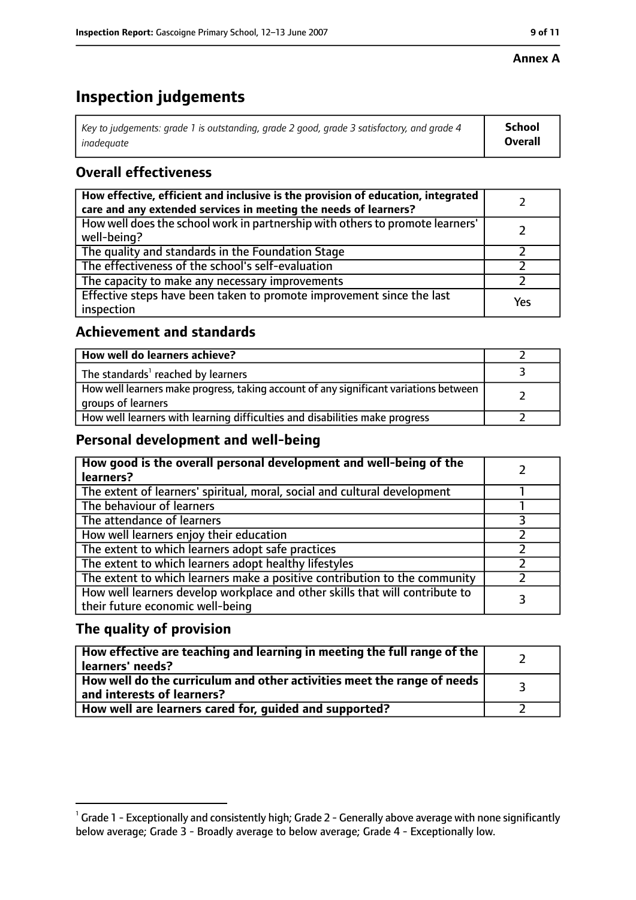#### **Annex A**

# **Inspection judgements**

| Key to judgements: grade 1 is outstanding, grade 2 good, grade 3 satisfactory, and grade 4 $\,$ | <b>School</b>  |
|-------------------------------------------------------------------------------------------------|----------------|
| inadequate                                                                                      | <b>Overall</b> |

## **Overall effectiveness**

| How effective, efficient and inclusive is the provision of education, integrated<br>care and any extended services in meeting the needs of learners? |     |
|------------------------------------------------------------------------------------------------------------------------------------------------------|-----|
| How well does the school work in partnership with others to promote learners'<br>well-being?                                                         |     |
| The quality and standards in the Foundation Stage                                                                                                    |     |
| The effectiveness of the school's self-evaluation                                                                                                    |     |
| The capacity to make any necessary improvements                                                                                                      |     |
| Effective steps have been taken to promote improvement since the last<br>inspection                                                                  | Yes |

## **Achievement and standards**

| How well do learners achieve?                                                                               |  |
|-------------------------------------------------------------------------------------------------------------|--|
| The standards <sup>1</sup> reached by learners                                                              |  |
| How well learners make progress, taking account of any significant variations between<br>groups of learners |  |
| How well learners with learning difficulties and disabilities make progress                                 |  |

## **Personal development and well-being**

| How good is the overall personal development and well-being of the<br>learners?                                  |  |
|------------------------------------------------------------------------------------------------------------------|--|
| The extent of learners' spiritual, moral, social and cultural development                                        |  |
| The behaviour of learners                                                                                        |  |
| The attendance of learners                                                                                       |  |
| How well learners enjoy their education                                                                          |  |
| The extent to which learners adopt safe practices                                                                |  |
| The extent to which learners adopt healthy lifestyles                                                            |  |
| The extent to which learners make a positive contribution to the community                                       |  |
| How well learners develop workplace and other skills that will contribute to<br>their future economic well-being |  |

## **The quality of provision**

| How effective are teaching and learning in meeting the full range of the<br>learners' needs?          |  |
|-------------------------------------------------------------------------------------------------------|--|
| How well do the curriculum and other activities meet the range of needs<br>and interests of learners? |  |
| How well are learners cared for, quided and supported?                                                |  |

 $^1$  Grade 1 - Exceptionally and consistently high; Grade 2 - Generally above average with none significantly below average; Grade 3 - Broadly average to below average; Grade 4 - Exceptionally low.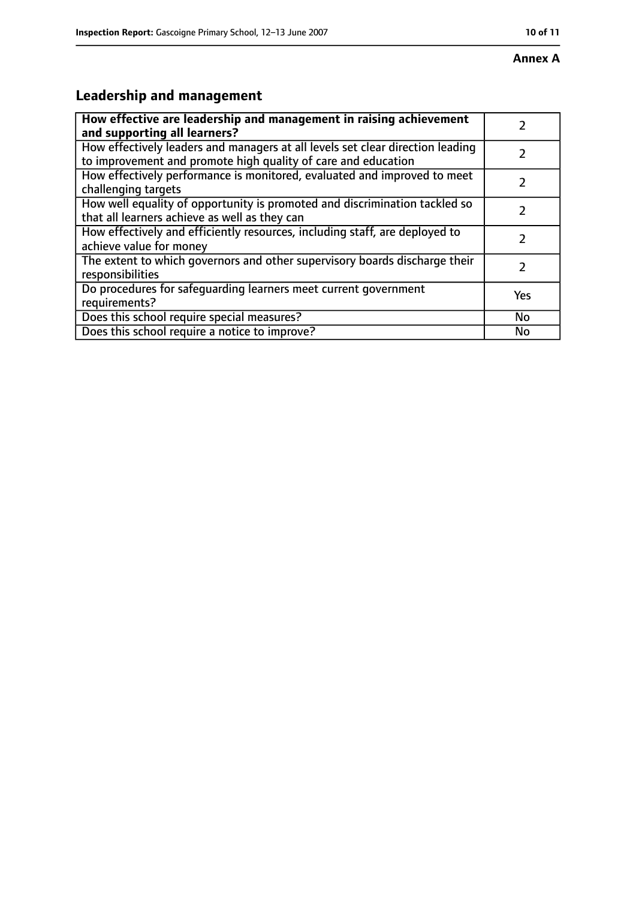# **Leadership and management**

| How effective are leadership and management in raising achievement<br>and supporting all learners?                                              |     |
|-------------------------------------------------------------------------------------------------------------------------------------------------|-----|
| How effectively leaders and managers at all levels set clear direction leading<br>to improvement and promote high quality of care and education |     |
| How effectively performance is monitored, evaluated and improved to meet<br>challenging targets                                                 |     |
| How well equality of opportunity is promoted and discrimination tackled so<br>that all learners achieve as well as they can                     |     |
| How effectively and efficiently resources, including staff, are deployed to<br>achieve value for money                                          | 2   |
| The extent to which governors and other supervisory boards discharge their<br>responsibilities                                                  | 2   |
| Do procedures for safequarding learners meet current government<br>requirements?                                                                | Yes |
| Does this school require special measures?                                                                                                      | No  |
| Does this school require a notice to improve?                                                                                                   | No  |